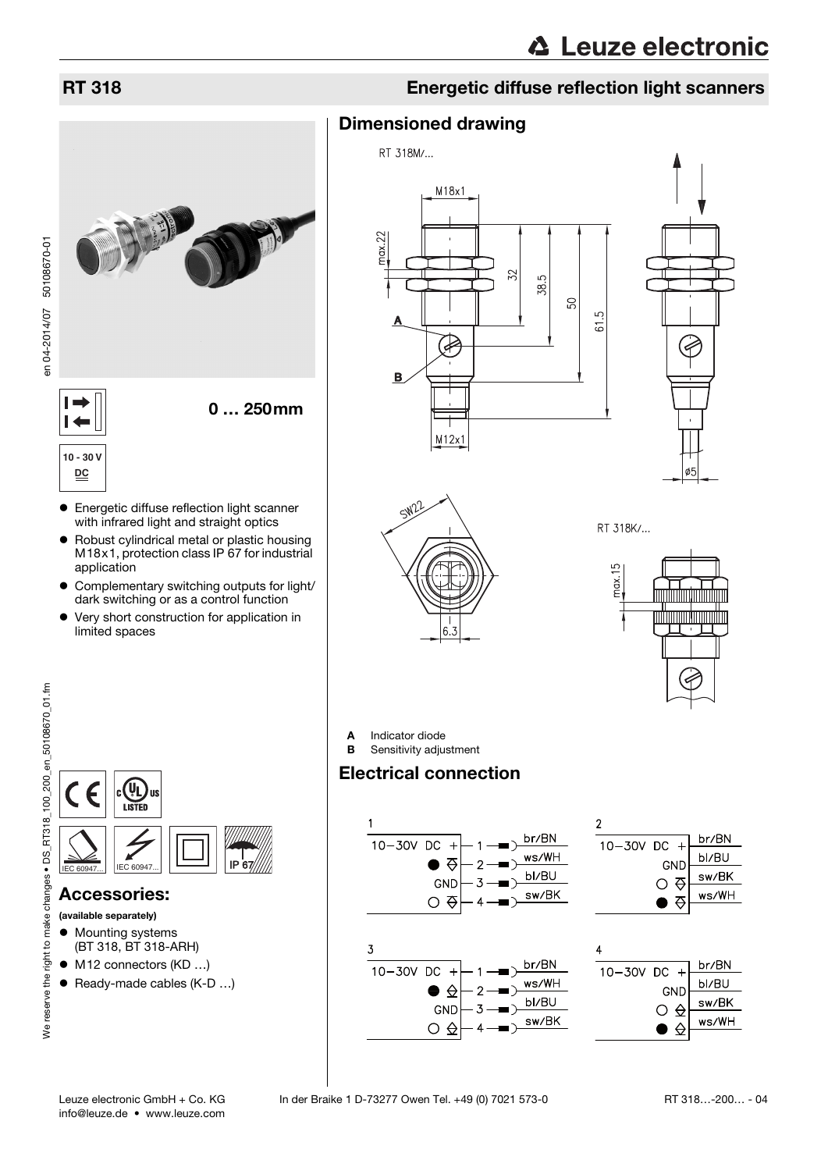

### RT 318 Energetic diffuse reflection light scanners

### Dimensioned drawing







RT 318K/...



**A** Indicator diode<br>**B** Sensitivity adjust Sensitivity adjustment

### Electrical connection

<span id="page-0-0"></span>